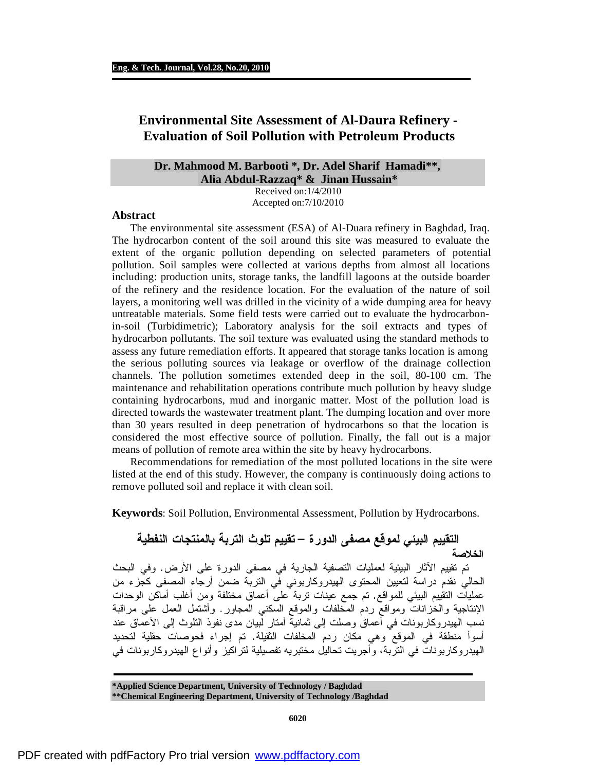# **Environmental Site Assessment of Al-Daura Refinery - Evaluation of Soil Pollution with Petroleum Products**

# **Dr. Mahmood M. Barbooti \*, Dr. Adel Sharif Hamadi\*\*, Alia Abdul-Razzaq\* & Jinan Hussain\***

Received on:1/4/2010 Accepted on:7/10/2010

## **Abstract**

The environmental site assessment (ESA) of Al-Duara refinery in Baghdad, Iraq. The hydrocarbon content of the soil around this site was measured to evaluate the extent of the organic pollution depending on selected parameters of potential pollution. Soil samples were collected at various depths from almost all locations including: production units, storage tanks, the landfill lagoons at the outside boarder of the refinery and the residence location. For the evaluation of the nature of soil layers, a monitoring well was drilled in the vicinity of a wide dumping area for heavy untreatable materials. Some field tests were carried out to evaluate the hydrocarbonin-soil (Turbidimetric); Laboratory analysis for the soil extracts and types of hydrocarbon pollutants. The soil texture was evaluated using the standard methods to assess any future remediation efforts. It appeared that storage tanks location is among the serious polluting sources via leakage or overflow of the drainage collection channels. The pollution sometimes extended deep in the soil, 80-100 cm. The maintenance and rehabilitation operations contribute much pollution by heavy sludge containing hydrocarbons, mud and inorganic matter. Most of the pollution load is directed towards the wastewater treatment plant. The dumping location and over more than 30 years resulted in deep penetration of hydrocarbons so that the location is considered the most effective source of pollution. Finally, the fall out is a major means of pollution of remote area within the site by heavy hydrocarbons.

Recommendations for remediation of the most polluted locations in the site were listed at the end of this study. However, the company is continuously doing actions to remove polluted soil and replace it with clean soil.

**Keywords**: Soil Pollution, Environmental Assessment, Pollution by Hydrocarbons.

**التقييم البيئي لموقع مصفى الدورة – تقييم تلوث التربة بالمنتجات النفطية الخلاصة**  تم تقييم الآثار البيئية لعمليات التصفية الجارية في مصفى الدورة على الأرض. وفي البحث الحالي نقدم دراسة لتعيين المحتوى الهيدروكاربوني في التربة ضمن أرجاء المصفى كجزء من عمليات التقييم البيئي للمواقع. تم جمع عينات تربة على أعماق مختلفة ومن أغلب أماكن الوحدات الإنتاجية والخزانات ومواقع ردم المخلفات والموقع السكني المجاور. وأشتمل العمل على مراقبة نسب الهيدروكاربونات في أعماق وصلت إلى ثمانية أمتار لبيان مدى نفوذ التلوث إلى الأعماق عند أسوأ منطقة في الموقع وهي مكان ردم المخلفات الثقيلة. تم إجراء فحوصات حقلية لتحديد الهيدروكاربونات في التربة، وأجريت تحاليل مختبريه تفصيلية لتراكيز وأنواع الهيدروكاربونات في

**\*Applied Science Department, University of Technology / Baghdad \*\*Chemical Engineering Department, University of Technology /Baghdad**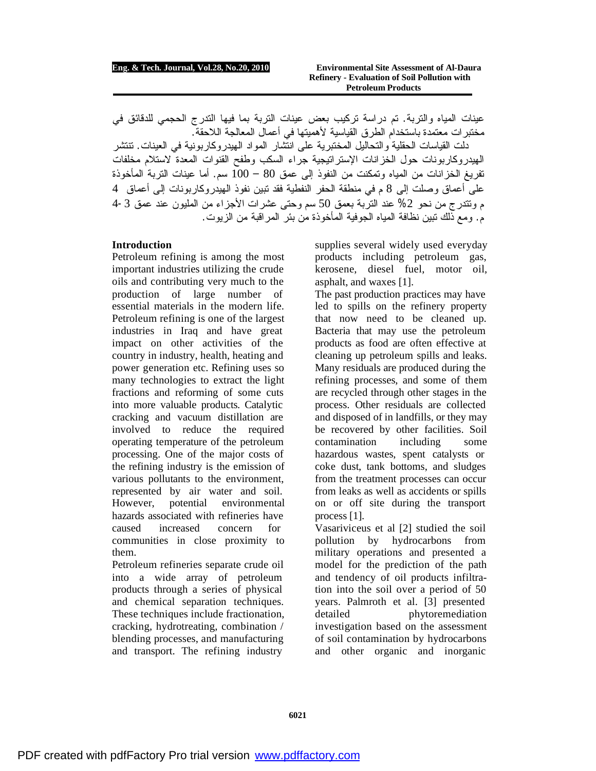عينات المياه والتربة. تم دراسة تركيب بعض عينات التربة بما فيها التدرج الحجمي للدقائق في مختبرات معتمدة باستخدام الطرق القياسية لأهميتها في أعمال المعالجة اللاحقة.

دلت القياسات الحقلية والتحاليل المختبرية على انتشار المواد الهيدروكاربونية في العينات. تنتشر الهيدروكاربونات حول الخزانات الإستراتيجية جراء السكب وطفح القنوات المعدة لاستلام مخلفات تفريغ الخزانات من المياه وتمكنت من النفوذ إلى عمق 80 – 100 سم. أما عينات التربة المأخوذة على أعماق وصلت إلى 8 م في منطقة الحفر النفطية فقد تبين نفوذ الهيدروكاربونات إلى أعماق 4 م وتتدرج من نحو %2 عند التربة بعمق 50 سم وحتى عشرات الأجزاء من المليون عند عمق 4-3 م. ومع ذلك تبين نظافة المياه الجوفية المأخوذة من بئر المراقبة من الزيوت.

## **Introduction**

Petroleum refining is among the most important industries utilizing the crude oils and contributing very much to the production of large number of essential materials in the modern life. Petroleum refining is one of the largest industries in Iraq and have great impact on other activities of the country in industry, health, heating and power generation etc. Refining uses so many technologies to extract the light fractions and reforming of some cuts into more valuable products. Catalytic cracking and vacuum distillation are involved to reduce the required operating temperature of the petroleum processing. One of the major costs of the refining industry is the emission of various pollutants to the environment, represented by air water and soil. However, potential environmental hazards associated with refineries have caused increased concern for communities in close proximity to them.

Petroleum refineries separate crude oil into a wide array of petroleum products through a series of physical and chemical separation techniques. These techniques include fractionation, cracking, hydrotreating, combination / blending processes, and manufacturing and transport. The refining industry

supplies several widely used everyday products including petroleum gas, kerosene, diesel fuel, motor oil, asphalt, and waxes [1].

The past production practices may have led to spills on the refinery property that now need to be cleaned up. Bacteria that may use the petroleum products as food are often effective at cleaning up petroleum spills and leaks. Many residuals are produced during the refining processes, and some of them are recycled through other stages in the process. Other residuals are collected and disposed of in landfills, or they may be recovered by other facilities. Soil contamination including some hazardous wastes, spent catalysts or coke dust, tank bottoms, and sludges from the treatment processes can occur from leaks as well as accidents or spills on or off site during the transport process [1].

Vasariviceus et al [2] studied the soil pollution by hydrocarbons from military operations and presented a model for the prediction of the path and tendency of oil products infiltration into the soil over a period of 50 years. Palmroth et al. [3] presented detailed phytoremediation investigation based on the assessment of soil contamination by hydrocarbons and other organic and inorganic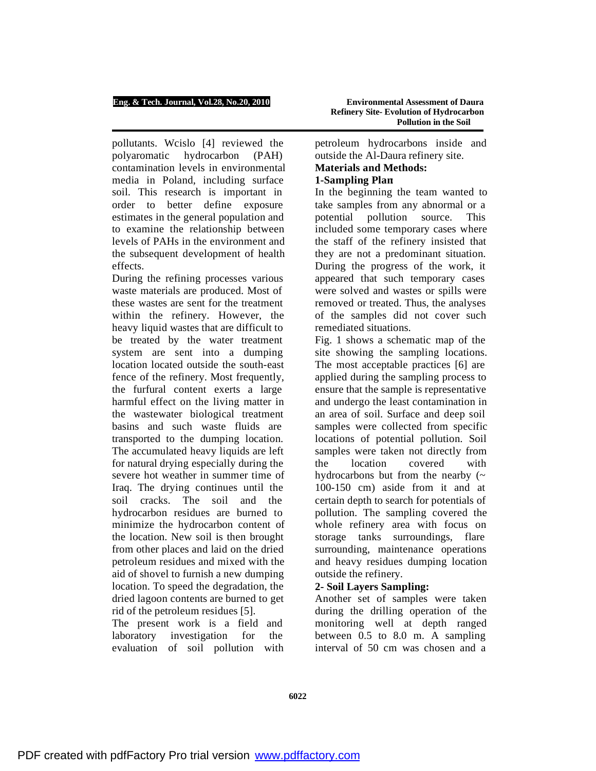pollutants. Wcislo [4] reviewed the polyaromatic hydrocarbon (PAH) contamination levels in environmental media in Poland, including surface soil. This research is important in order to better define exposure estimates in the general population and to examine the relationship between levels of PAHs in the environment and the subsequent development of health effects.

During the refining processes various waste materials are produced. Most of these wastes are sent for the treatment within the refinery. However, the heavy liquid wastes that are difficult to be treated by the water treatment system are sent into a dumping location located outside the south-east fence of the refinery. Most frequently, the furfural content exerts a large harmful effect on the living matter in the wastewater biological treatment basins and such waste fluids are transported to the dumping location. The accumulated heavy liquids are left for natural drying especially during the severe hot weather in summer time of Iraq. The drying continues until the soil cracks. The soil and the hydrocarbon residues are burned to minimize the hydrocarbon content of the location. New soil is then brought from other places and laid on the dried petroleum residues and mixed with the aid of shovel to furnish a new dumping location. To speed the degradation, the dried lagoon contents are burned to get rid of the petroleum residues [5].

The present work is a field and laboratory investigation for the evaluation of soil pollution with petroleum hydrocarbons inside and outside the Al-Daura refinery site.

## **Materials and Methods: 1-Sampling Plan**:

In the beginning the team wanted to take samples from any abnormal or a potential pollution source. This included some temporary cases where the staff of the refinery insisted that they are not a predominant situation. During the progress of the work, it appeared that such temporary cases were solved and wastes or spills were removed or treated. Thus, the analyses of the samples did not cover such remediated situations.

Fig. 1 shows a schematic map of the site showing the sampling locations. The most acceptable practices [6] are applied during the sampling process to ensure that the sample is representative and undergo the least contamination in an area of soil. Surface and deep soil samples were collected from specific locations of potential pollution. Soil samples were taken not directly from the location covered with hydrocarbons but from the nearby  $(\sim$ 100-150 cm) aside from it and at certain depth to search for potentials of pollution. The sampling covered the whole refinery area with focus on storage tanks surroundings, flare surrounding, maintenance operations and heavy residues dumping location outside the refinery.

# **2- Soil Layers Sampling:**

Another set of samples were taken during the drilling operation of the monitoring well at depth ranged between 0.5 to 8.0 m. A sampling interval of 50 cm was chosen and a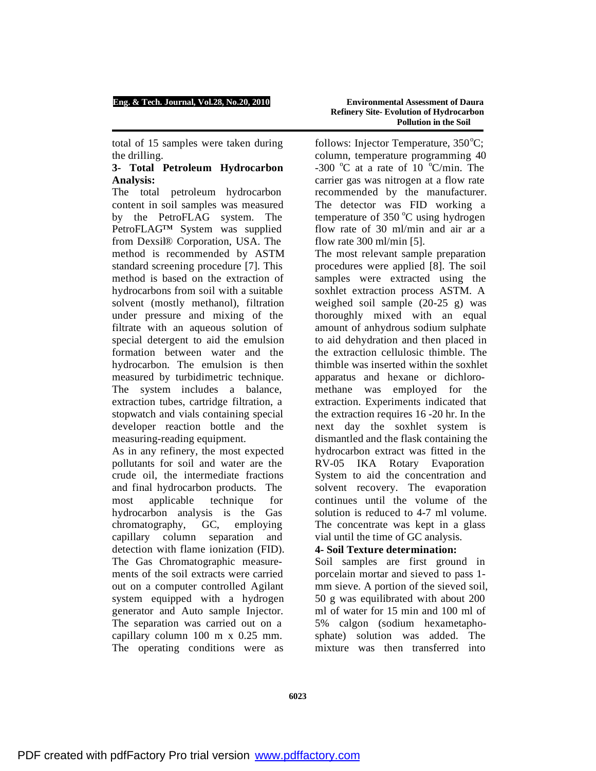total of 15 samples were taken during the drilling.

## **3- Total Petroleum Hydrocarbon Analysis:**

The total petroleum hydrocarbon content in soil samples was measured by the PetroFLAG system. The PetroFLAG™ System was supplied from Dexsil® Corporation, USA. The method is recommended by ASTM standard screening procedure [7]. This method is based on the extraction of hydrocarbons from soil with a suitable solvent (mostly methanol), filtration under pressure and mixing of the filtrate with an aqueous solution of special detergent to aid the emulsion formation between water and the hydrocarbon. The emulsion is then measured by turbidimetric technique. The system includes a balance, extraction tubes, cartridge filtration, a stopwatch and vials containing special developer reaction bottle and the measuring-reading equipment.

As in any refinery, the most expected pollutants for soil and water are the crude oil, the intermediate fractions and final hydrocarbon products. The most applicable technique for hydrocarbon analysis is the Gas chromatography, GC, employing capillary column separation and detection with flame ionization (FID). The Gas Chromatographic measurements of the soil extracts were carried out on a computer controlled Agilant system equipped with a hydrogen generator and Auto sample Injector. The separation was carried out on a capillary column 100 m x 0.25 mm. The operating conditions were as

follows: Injector Temperature,  $350^{\circ}$ C; column, temperature programming 40 -300  $\degree$ C at a rate of 10  $\degree$ C/min. The carrier gas was nitrogen at a flow rate recommended by the manufacturer. The detector was FID working a temperature of  $350^{\circ}$ C using hydrogen flow rate of 30 ml/min and air ar a flow rate 300 ml/min [5].

The most relevant sample preparation procedures were applied [8]. The soil samples were extracted using the soxhlet extraction process ASTM. A weighed soil sample (20-25 g) was thoroughly mixed with an equal amount of anhydrous sodium sulphate to aid dehydration and then placed in the extraction cellulosic thimble. The thimble was inserted within the soxhlet apparatus and hexane or dichloromethane was employed for the extraction. Experiments indicated that the extraction requires 16 -20 hr. In the next day the soxhlet system is dismantled and the flask containing the hydrocarbon extract was fitted in the RV-05 IKA Rotary Evaporation System to aid the concentration and solvent recovery. The evaporation continues until the volume of the solution is reduced to 4-7 ml volume. The concentrate was kept in a glass vial until the time of GC analysis.

# **4- Soil Texture determination:**

Soil samples are first ground in porcelain mortar and sieved to pass 1 mm sieve. A portion of the sieved soil, 50 g was equilibrated with about 200 ml of water for 15 min and 100 ml of 5% calgon (sodium hexametaphosphate) solution was added. The mixture was then transferred into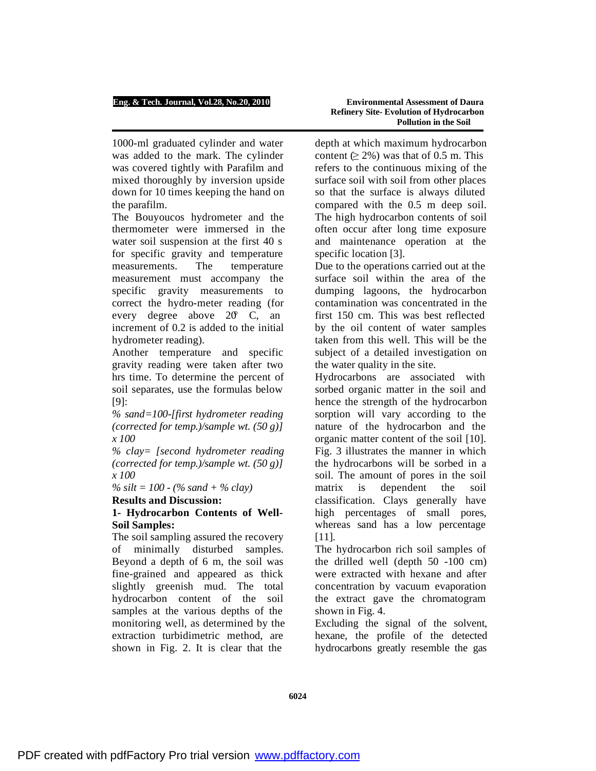1000-ml graduated cylinder and water was added to the mark. The cylinder was covered tightly with Parafilm and mixed thoroughly by inversion upside down for 10 times keeping the hand on the parafilm.

The Bouyoucos hydrometer and the thermometer were immersed in the water soil suspension at the first 40 s for specific gravity and temperature measurements. The temperature measurement must accompany the specific gravity measurements to correct the hydro-meter reading (for every degree above 20° C, an increment of 0.2 is added to the initial hydrometer reading).

Another temperature and specific gravity reading were taken after two hrs time. To determine the percent of soil separates, use the formulas below [9]:

*% sand=100-[first hydrometer reading (corrected for temp.)/sample wt. (50 g)] x 100* 

*% clay= [second hydrometer reading (corrected for temp.)/sample wt. (50 g)] x 100* 

*% silt = 100 - (% sand + % clay)* 

# **Results and Discussion:**

# **1- Hydrocarbon Contents of Well-Soil Samples:**

The soil sampling assured the recovery of minimally disturbed samples. Beyond a depth of 6 m, the soil was fine-grained and appeared as thick slightly greenish mud. The total hydrocarbon content of the soil samples at the various depths of the monitoring well, as determined by the extraction turbidimetric method, are shown in Fig. 2. It is clear that the

depth at which maximum hydrocarbon content  $(≥ 2%)$  was that of 0.5 m. This refers to the continuous mixing of the surface soil with soil from other places so that the surface is always diluted compared with the 0.5 m deep soil. The high hydrocarbon contents of soil often occur after long time exposure and maintenance operation at the specific location [3].

Due to the operations carried out at the surface soil within the area of the dumping lagoons, the hydrocarbon contamination was concentrated in the first 150 cm. This was best reflected by the oil content of water samples taken from this well. This will be the subject of a detailed investigation on the water quality in the site.

Hydrocarbons are associated with sorbed organic matter in the soil and hence the strength of the hydrocarbon sorption will vary according to the nature of the hydrocarbon and the organic matter content of the soil [10]. Fig. 3 illustrates the manner in which the hydrocarbons will be sorbed in a soil. The amount of pores in the soil matrix is dependent the soil classification. Clays generally have high percentages of small pores, whereas sand has a low percentage [11].

The hydrocarbon rich soil samples of the drilled well (depth 50 -100 cm) were extracted with hexane and after concentration by vacuum evaporation the extract gave the chromatogram shown in Fig. 4.

Excluding the signal of the solvent, hexane, the profile of the detected hydrocarbons greatly resemble the gas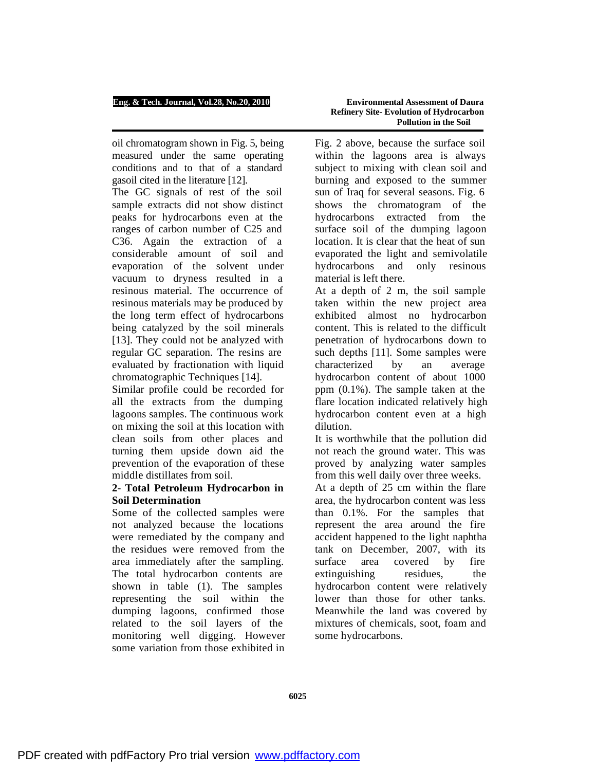oil chromatogram shown in Fig. 5, being measured under the same operating conditions and to that of a standard gasoil cited in the literature [12].

The GC signals of rest of the soil sample extracts did not show distinct peaks for hydrocarbons even at the ranges of carbon number of C25 and C36. Again the extraction of a considerable amount of soil and evaporation of the solvent under vacuum to dryness resulted in a resinous material. The occurrence of resinous materials may be produced by the long term effect of hydrocarbons being catalyzed by the soil minerals [13]. They could not be analyzed with regular GC separation. The resins are evaluated by fractionation with liquid chromatographic Techniques [14].

Similar profile could be recorded for all the extracts from the dumping lagoons samples. The continuous work on mixing the soil at this location with clean soils from other places and turning them upside down aid the prevention of the evaporation of these middle distillates from soil.

# **2- Total Petroleum Hydrocarbon in Soil Determination**

Some of the collected samples were not analyzed because the locations were remediated by the company and the residues were removed from the area immediately after the sampling. The total hydrocarbon contents are shown in table (1). The samples representing the soil within the dumping lagoons, confirmed those related to the soil layers of the monitoring well digging. However some variation from those exhibited in

Fig. 2 above, because the surface soil within the lagoons area is always subject to mixing with clean soil and burning and exposed to the summer sun of Iraq for several seasons. Fig. 6 shows the chromatogram of the hydrocarbons extracted from the surface soil of the dumping lagoon location. It is clear that the heat of sun evaporated the light and semivolatile hydrocarbons and only resinous material is left there.

At a depth of 2 m, the soil sample taken within the new project area exhibited almost no hydrocarbon content. This is related to the difficult penetration of hydrocarbons down to such depths [11]. Some samples were characterized by an average hydrocarbon content of about 1000 ppm (0.1%). The sample taken at the flare location indicated relatively high hydrocarbon content even at a high dilution.

It is worthwhile that the pollution did not reach the ground water. This was proved by analyzing water samples from this well daily over three weeks.

At a depth of 25 cm within the flare area, the hydrocarbon content was less than 0.1%. For the samples that represent the area around the fire accident happened to the light naphtha tank on December, 2007, with its surface area covered by fire extinguishing residues, the hydrocarbon content were relatively lower than those for other tanks. Meanwhile the land was covered by mixtures of chemicals, soot, foam and some hydrocarbons.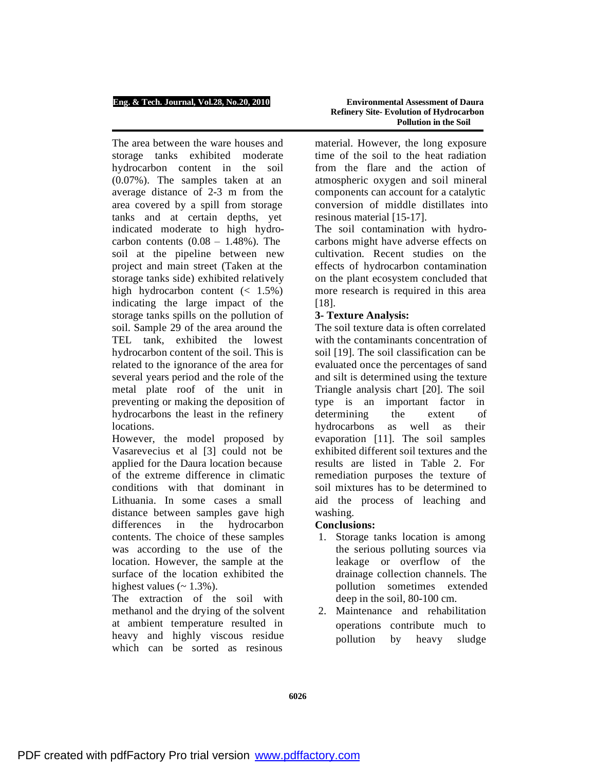The area between the ware houses and storage tanks exhibited moderate hydrocarbon content in the soil (0.07%). The samples taken at an average distance of 2-3 m from the area covered by a spill from storage tanks and at certain depths, yet indicated moderate to high hydrocarbon contents  $(0.08 - 1.48\%)$ . The soil at the pipeline between new project and main street (Taken at the storage tanks side) exhibited relatively high hydrocarbon content  $\left( < 1.5\% \right)$ indicating the large impact of the storage tanks spills on the pollution of soil. Sample 29 of the area around the TEL tank, exhibited the lowest hydrocarbon content of the soil. This is related to the ignorance of the area for several years period and the role of the metal plate roof of the unit in preventing or making the deposition of hydrocarbons the least in the refinery locations.

However, the model proposed by Vasarevecius et al [3] could not be applied for the Daura location because of the extreme difference in climatic conditions with that dominant in Lithuania. In some cases a small distance between samples gave high differences in the hydrocarbon contents. The choice of these samples was according to the use of the location. However, the sample at the surface of the location exhibited the highest values  $(2.1.3\%)$ .

The extraction of the soil with methanol and the drying of the solvent at ambient temperature resulted in heavy and highly viscous residue which can be sorted as resinous

material. However, the long exposure time of the soil to the heat radiation from the flare and the action of atmospheric oxygen and soil mineral components can account for a catalytic conversion of middle distillates into resinous material [15-17].

The soil contamination with hydrocarbons might have adverse effects on cultivation. Recent studies on the effects of hydrocarbon contamination on the plant ecosystem concluded that more research is required in this area [18].

# **3- Texture Analysis:**

The soil texture data is often correlated with the contaminants concentration of soil [19]. The soil classification can be evaluated once the percentages of sand and silt is determined using the texture Triangle analysis chart [20]. The soil type is an important factor in determining the extent of hydrocarbons as well as their evaporation [11]. The soil samples exhibited different soil textures and the results are listed in Table 2. For remediation purposes the texture of soil mixtures has to be determined to aid the process of leaching and washing.

# **Conclusions:**

- 1. Storage tanks location is among the serious polluting sources via leakage or overflow of the drainage collection channels. The pollution sometimes extended deep in the soil, 80-100 cm.
- 2. Maintenance and rehabilitation operations contribute much to pollution by heavy sludge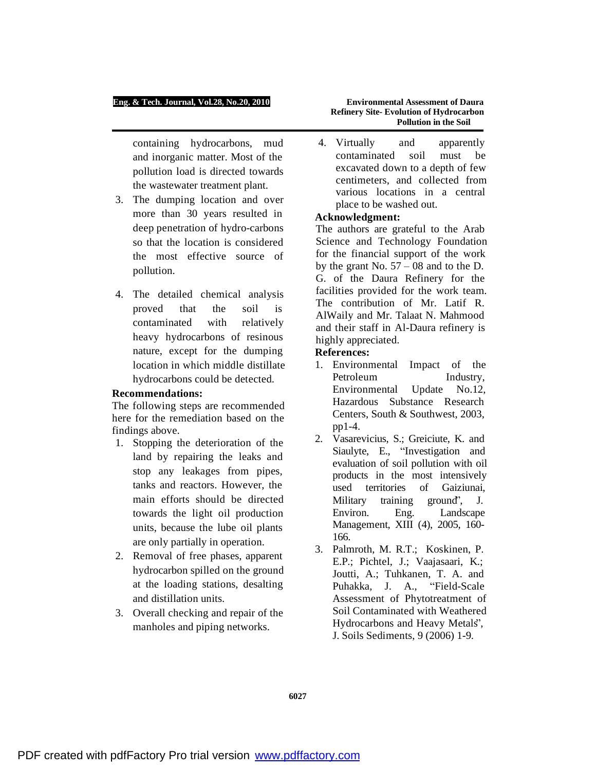containing hydrocarbons, mud and inorganic matter. Most of the pollution load is directed towards the wastewater treatment plant.

- 3. The dumping location and over more than 30 years resulted in deep penetration of hydro-carbons so that the location is considered the most effective source of pollution.
- 4. The detailed chemical analysis proved that the soil is contaminated with relatively heavy hydrocarbons of resinous nature, except for the dumping location in which middle distillate hydrocarbons could be detected.

## **Recommendations:**

The following steps are recommended here for the remediation based on the findings above.

- 1. Stopping the deterioration of the land by repairing the leaks and stop any leakages from pipes, tanks and reactors. However, the main efforts should be directed towards the light oil production units, because the lube oil plants are only partially in operation.
- 2. Removal of free phases, apparent hydrocarbon spilled on the ground at the loading stations, desalting and distillation units.
- 3. Overall checking and repair of the manholes and piping networks.

**Refinery Site- Evolution of Hydrocarbon Pollution in the Soil** 

4. Virtually and apparently contaminated soil must be excavated down to a depth of few centimeters, and collected from various locations in a central place to be washed out.

## **Acknowledgment:**

The authors are grateful to the Arab Science and Technology Foundation for the financial support of the work by the grant No.  $57 - 08$  and to the D. G. of the Daura Refinery for the facilities provided for the work team. The contribution of Mr. Latif R. AlWaily and Mr. Talaat N. Mahmood and their staff in Al-Daura refinery is highly appreciated.

## **References:**

- 1. Environmental Impact of the Petroleum Industry, Environmental Update No.12, Hazardous Substance Research Centers, South & Southwest, 2003, pp1-4.
- 2. Vasarevicius, S.; Greiciute, K. and Siaulyte, E., "Investigation and evaluation of soil pollution with oil products in the most intensively used territories of Gaiziunai, Military training ground", J. Environ. Eng. Landscape Management, XIII (4), 2005, 160- 166.
- 3. Palmroth, M. R.T.; Koskinen, P. E.P.; Pichtel, J.; Vaajasaari, K.; Joutti, A.; Tuhkanen, T. A. and Puhakka, J. A., "Field-Scale Assessment of Phytotreatment of Soil Contaminated with Weathered Hydrocarbons and Heavy Metals", J. Soils Sediments, 9 (2006) 1-9.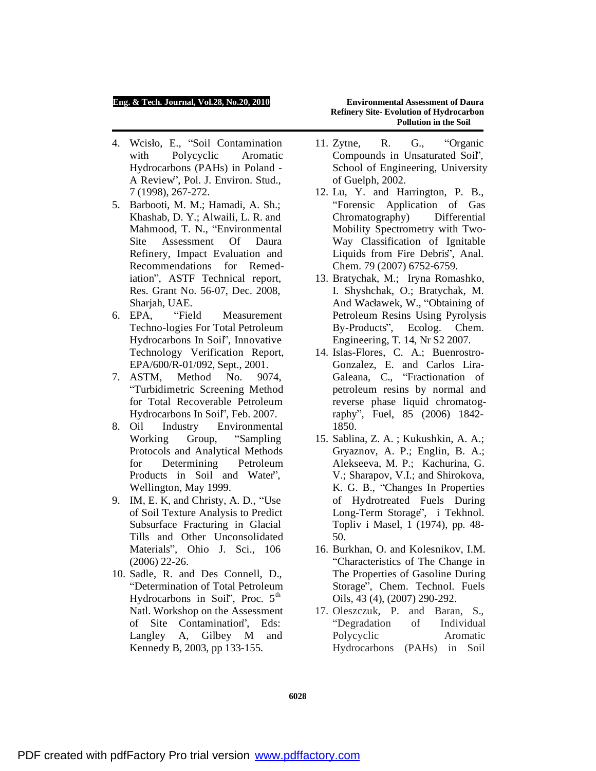- 4. Wcisło, E., "Soil Contamination with Polycyclic Aromatic Hydrocarbons (PAHs) in Poland - A Review", Pol. J. Environ. Stud., 7 (1998), 267-272.
- 5. Barbooti, M. M.; Hamadi, A. Sh.; Khashab, D. Y.; Alwaili, L. R. and Mahmood, T. N., "Environmental Site Assessment Of Daura Refinery, Impact Evaluation and Recommendations for Remediation", ASTF Technical report, Res. Grant No. 56-07, Dec. 2008, Sharjah, UAE.
- 6. EPA, "Field Measurement Techno-logies For Total Petroleum Hydrocarbons In Soil", Innovative Technology Verification Report, EPA/600/R-01/092, Sept., 2001.
- 7. ASTM, Method No. 9074, "Turbidimetric Screening Method for Total Recoverable Petroleum Hydrocarbons In Soil", Feb. 2007.
- 8. Oil Industry Environmental Working Group, "Sampling Protocols and Analytical Methods for Determining Petroleum Products in Soil and Water", Wellington, May 1999.
- 9. IM, E. K, and Christy, A. D., "Use of Soil Texture Analysis to Predict Subsurface Fracturing in Glacial Tills and Other Unconsolidated Materials", Ohio J. Sci., 106 (2006) 22-26.
- 10. Sadle, R. and Des Connell, D., "Determination of Total Petroleum Hydrocarbons in Soil', Proc. 5<sup>th</sup> Natl. Workshop on the Assessment of Site Contamination", Eds: Langley A, Gilbey M and Kennedy B, 2003, pp 133-155.

# **Refinery Site- Evolution of Hydrocarbon Pollution in the Soil**

- 11. Zytne, R. G., "Organic Compounds in Unsaturated Soil", School of Engineering, University of Guelph, 2002.
- 12. Lu, Y. and Harrington, P. B., "Forensic Application of Gas Chromatography) Differential Mobility Spectrometry with Two-Way Classification of Ignitable Liquids from Fire Debris", Anal. Chem. 79 (2007) 6752-6759.
- 13. Bratychak, M.; Iryna Romashko, I. Shyshchak, O.; Bratychak, M. And Wacławek, W., "Obtaining of Petroleum Resins Using Pyrolysis By-Products", Ecolog. Chem. Engineering, T. 14, Nr S2 2007.
- 14. Islas-Flores, C. A.; Buenrostro-Gonzalez, E. and Carlos Lira-Galeana, C., "Fractionation of petroleum resins by normal and reverse phase liquid chromatography", Fuel, 85 (2006) 1842- 1850.
- 15. Sablina, Z. A. ; Kukushkin, A. A.; Gryaznov, A. P.; Englin, B. A.; Alekseeva, M. P.; Kachurina, G. V.; Sharapov, V.I.; and Shirokova, K. G. B., "Changes In Properties of Hydrotreated Fuels During Long-Term Storage", i Tekhnol. Topliv i Masel, 1 (1974), pp. 48- 50.
- 16. Burkhan, O. and Kolesnikov, I.M. "Characteristics of The Change in The Properties of Gasoline During Storage", Chem. Technol. Fuels Oils, 43 (4), (2007) 290-292.
- 17. Oleszczuk, P. and Baran, S., "Degradation of Individual Polycyclic Aromatic Hydrocarbons (PAHs) in Soil

**6028**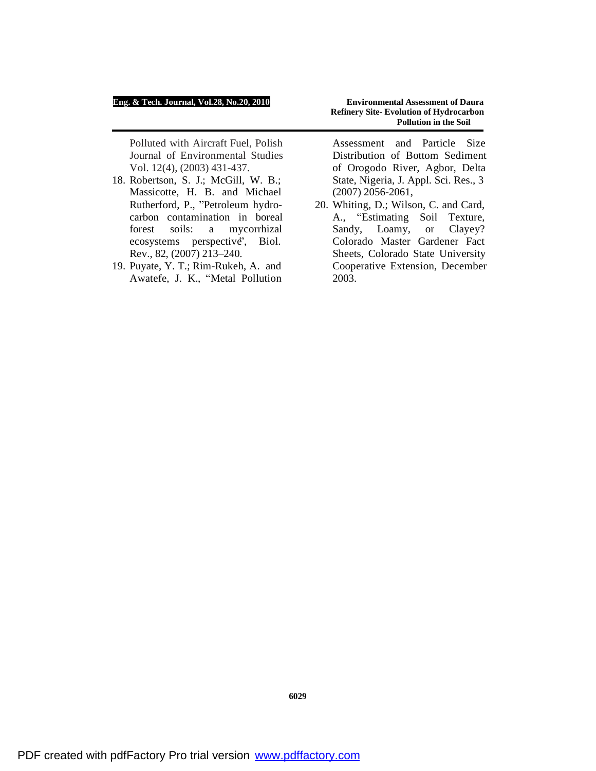Polluted with Aircraft Fuel, Polish Journal of Environmental Studies Vol. 12(4), (2003) 431-437.

- 18. Robertson, S. J.; McGill, W. B.; Massicotte, H. B. and Michael Rutherford, P., "Petroleum hydrocarbon contamination in boreal forest soils: a mycorrhizal ecosystems perspective", Biol. Rev., 82, (2007) 213–240.
- 19. Puyate, Y. T.; Rim-Rukeh, A. and Awatefe, J. K., "Metal Pollution

Assessment and Particle Size Distribution of Bottom Sediment of Orogodo River, Agbor, Delta State, Nigeria, J. Appl. Sci. Res., 3 (2007) 2056-2061,

20. Whiting, D.; Wilson, C. and Card, A., "Estimating Soil Texture, Sandy, Loamy, or Clayey? Colorado Master Gardener Fact Sheets, Colorado State University Cooperative Extension, December 2003.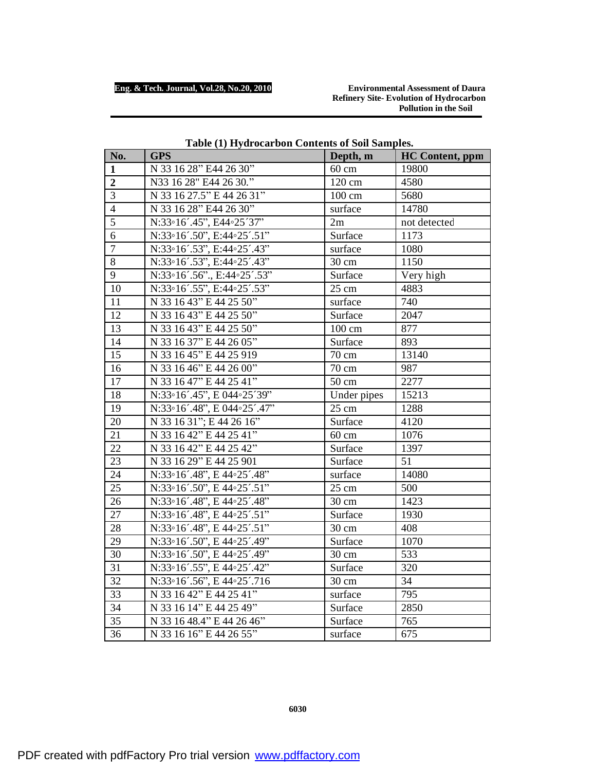**Refinery Site- Evolution of Hydrocarbon Pollution in the Soil** 

| No.              | <b>GPS</b>                  | Depth, m        | <b>HC</b> Content, ppm |
|------------------|-----------------------------|-----------------|------------------------|
| 1                | N 33 16 28" E44 26 30"      | $60 \text{ cm}$ | 19800                  |
| $\boldsymbol{2}$ | N33 16 28" E44 26 30."      | 120 cm          | 4580                   |
| 3                | N 33 16 27.5" E 44 26 31"   | 100 cm          | 5680                   |
| $\overline{4}$   | N 33 16 28" E44 26 30"      | surface         | 14780                  |
| $\overline{5}$   | N:33°16'.45", E44°25'37"    | 2m              | not detected           |
| 6                | N:33°16'.50", E:44°25'.51"  | Surface         | 1173                   |
| $\boldsymbol{7}$ | N:33°16'.53", E:44°25'.43"  | surface         | 1080                   |
| 8                | N:33°16'.53", E:44°25'.43"  | 30 cm           | 1150                   |
| 9                | N:33°16'.56"., E:44°25'.53" | Surface         | Very high              |
| 10               | N:33°16'.55", E:44°25'.53"  | 25 cm           | 4883                   |
| 11               | N 33 16 43" E 44 25 50"     | surface         | 740                    |
| 12               | N 33 16 43" E 44 25 50"     | Surface         | 2047                   |
| 13               | N 33 16 43" E 44 25 50"     | 100 cm          | 877                    |
| 14               | N 33 16 37" E 44 26 05"     | Surface         | 893                    |
| 15               | N 33 16 45" E 44 25 919     | $70 \text{ cm}$ | 13140                  |
| 16               | N 33 16 46" E 44 26 00"     | 70 cm           | 987                    |
| 17               | N 33 16 47" E 44 25 41"     | 50 cm           | 2277                   |
| 18               | N:33°16'.45", E 044°25'39"  | Under pipes     | 15213                  |
| 19               | N:33°16'.48", E 044°25'.47" | 25 cm           | 1288                   |
| 20               | N 33 16 31"; E 44 26 16"    | Surface         | 4120                   |
| 21               | N 33 16 42" E 44 25 41"     | $60 \text{ cm}$ | 1076                   |
| 22               | N 33 16 42" E 44 25 42"     | Surface         | 1397                   |
| 23               | N 33 16 29" E 44 25 901     | Surface         | 51                     |
| 24               | N:33°16'.48", E 44°25'.48"  | surface         | 14080                  |
| 25               | N:33°16'.50", E 44°25'.51"  | 25 cm           | 500                    |
| 26               | N:33°16'.48", E 44°25'.48"  | 30 cm           | 1423                   |
| 27               | N:33°16'.48", E 44°25'.51"  | Surface         | 1930                   |
| 28               | N:33°16'.48", E 44°25'.51"  | 30 cm           | 408                    |
| 29               | N:33°16'.50", E 44°25'.49"  | Surface         | 1070                   |
| 30               | N:33°16'.50", E 44°25'.49"  | 30 cm           | 533                    |
| 31               | N:33°16'.55", E 44°25'.42"  | Surface         | 320                    |
| 32               | N:33°16'.56", E 44°25'.716  | 30 cm           | 34                     |
| 33               | N 33 16 42" E 44 25 41"     | surface         | 795                    |
| 34               | N 33 16 14" E 44 25 49"     | Surface         | 2850                   |
| 35               | N 33 16 48.4" E 44 26 46"   | Surface         | 765                    |
| 36               | N 33 16 16" E 44 26 55"     | surface         | 675                    |

# **Table (1) Hydrocarbon Contents of Soil Samples.**

**6030**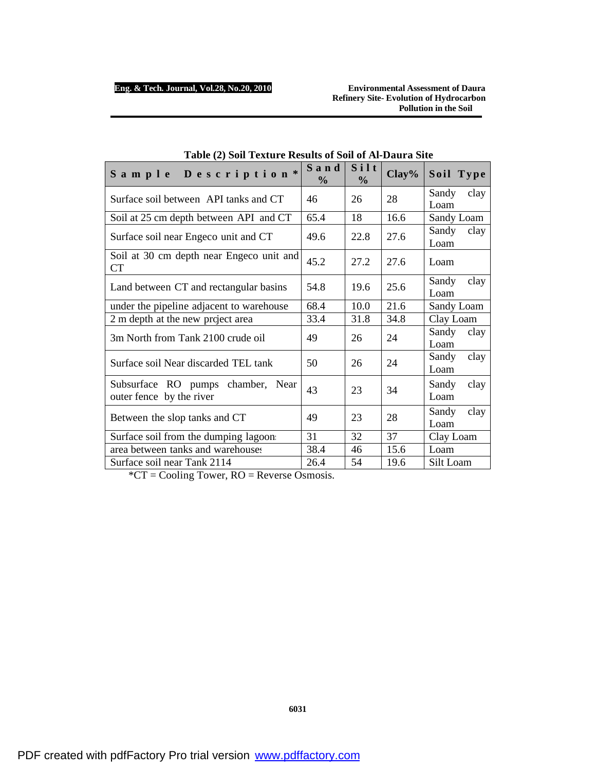**Refinery Site- Evolution of Hydrocarbon Pollution in the Soil** 

| Sample Description*                                           | Sand<br>$\frac{0}{0}$ | Silt<br>$\frac{0}{0}$ | Clay% | Soil Type             |
|---------------------------------------------------------------|-----------------------|-----------------------|-------|-----------------------|
| Surface soil between API tanks and CT                         | 46                    | 26                    | 28    | Sandy<br>clay<br>Loam |
| Soil at 25 cm depth between API and CT                        | 65.4                  | 18                    | 16.6  | Sandy Loam            |
| Surface soil near Engeco unit and CT                          | 49.6                  | 22.8                  | 27.6  | Sandy<br>clay<br>Loam |
| Soil at 30 cm depth near Engeco unit and<br>CT                | 45.2                  | 27.2                  | 27.6  | Loam                  |
| Land between CT and rectangular basins                        | 54.8                  | 19.6                  | 25.6  | clay<br>Sandy<br>Loam |
| under the pipeline adjacent to warehouse                      | 68.4                  | 10.0                  | 21.6  | Sandy Loam            |
| 2 m depth at the new project area                             | 33.4                  | 31.8                  | 34.8  | Clay Loam             |
| 3m North from Tank 2100 crude oil                             | 49                    | 26                    | 24    | Sandy<br>clay<br>Loam |
| Surface soil Near discarded TEL tank                          | 50                    | 26                    | 24    | clay<br>Sandy<br>Loam |
| Subsurface RO pumps chamber, Near<br>outer fence by the river | 43                    | 23                    | 34    | Sandy<br>clay<br>Loam |
| Between the slop tanks and CT                                 | 49                    | 23                    | 28    | Sandy<br>clay<br>Loam |
| Surface soil from the dumping lagoon                          | 31                    | 32                    | 37    | Clay Loam             |
| area between tanks and warehouses                             | 38.4                  | 46                    | 15.6  | Loam                  |
| Surface soil near Tank 2114                                   | 26.4                  | 54                    | 19.6  | Silt Loam             |

| Table (2) Soil Texture Results of Soil of Al-Daura Site |  |
|---------------------------------------------------------|--|
|---------------------------------------------------------|--|

\*CT = Cooling Tower, RO = Reverse Osmosis.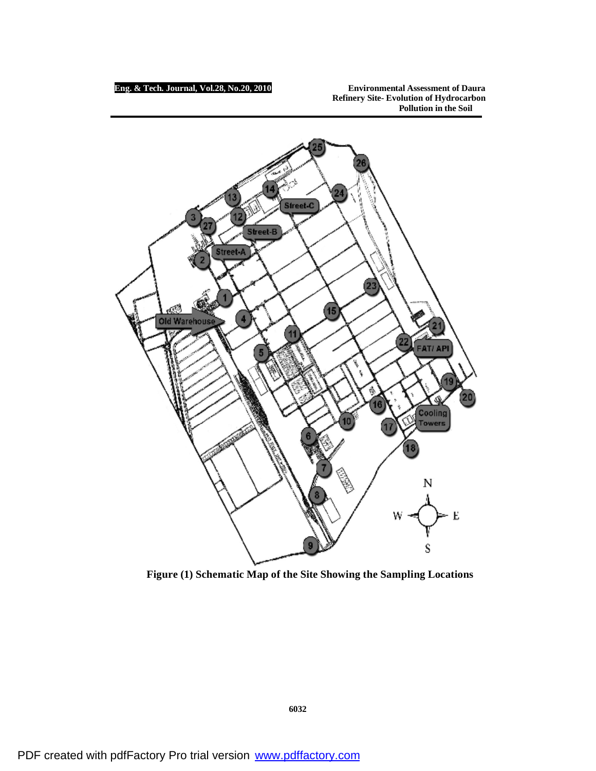**Eng. & Tech. Journal, Vol.28, No.20, 2010 Environmental Assessment of Daura Refinery Site- Evolution of Hydrocarbon Pollution in the Soil** 



**Figure (1) Schematic Map of the Site Showing the Sampling Locations**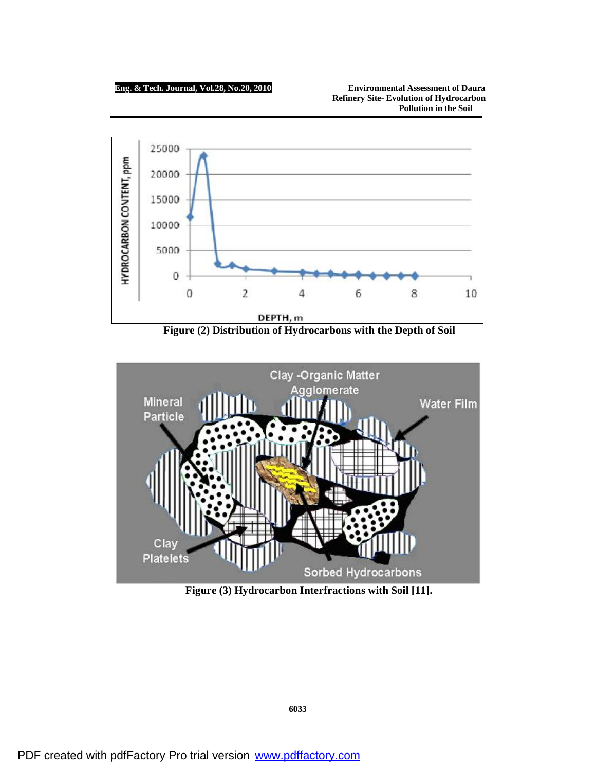**Eng. & Tech. Journal, Vol.28, No.20, 2010 Environmental Assessment of Daura Refinery Site- Evolution of Hydrocarbon Pollution in the Soil** 



**Figure (2) Distribution of Hydrocarbons with the Depth of Soil** 



**Figure (3) Hydrocarbon Interfractions with Soil [11].**